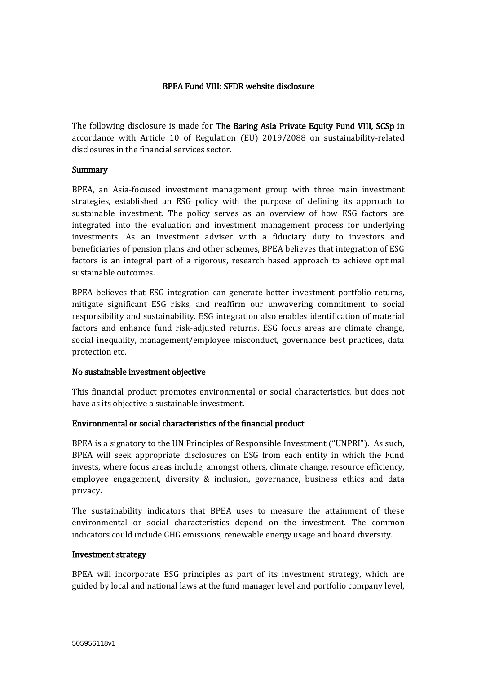# BPEA Fund VIII: SFDR website disclosure

The following disclosure is made for The Baring Asia Private Equity Fund VIII, SCSp in accordance with Article 10 of Regulation (EU) 2019/2088 on sustainability-related disclosures in the financial services sector.

### Summary

BPEA, an Asia-focused investment management group with three main investment strategies, established an ESG policy with the purpose of defining its approach to sustainable investment. The policy serves as an overview of how ESG factors are integrated into the evaluation and investment management process for underlying investments. As an investment adviser with a fiduciary duty to investors and beneficiaries of pension plans and other schemes, BPEA believes that integration of ESG factors is an integral part of a rigorous, research based approach to achieve optimal sustainable outcomes.

BPEA believes that ESG integration can generate better investment portfolio returns, mitigate significant ESG risks, and reaffirm our unwavering commitment to social responsibility and sustainability. ESG integration also enables identification of material factors and enhance fund risk-adjusted returns. ESG focus areas are climate change, social inequality, management/employee misconduct, governance best practices, data protection etc.

# No sustainable investment objective

This financial product promotes environmental or social characteristics, but does not have as its objective a sustainable investment.

# Environmental or social characteristics of the financial product

BPEA is a signatory to the UN Principles of Responsible Investment ("UNPRI"). As such, BPEA will seek appropriate disclosures on ESG from each entity in which the Fund invests, where focus areas include, amongst others, climate change, resource efficiency, employee engagement, diversity & inclusion, governance, business ethics and data privacy.

The sustainability indicators that BPEA uses to measure the attainment of these environmental or social characteristics depend on the investment. The common indicators could include GHG emissions, renewable energy usage and board diversity.

### Investment strategy

BPEA will incorporate ESG principles as part of its investment strategy, which are guided by local and national laws at the fund manager level and portfolio company level,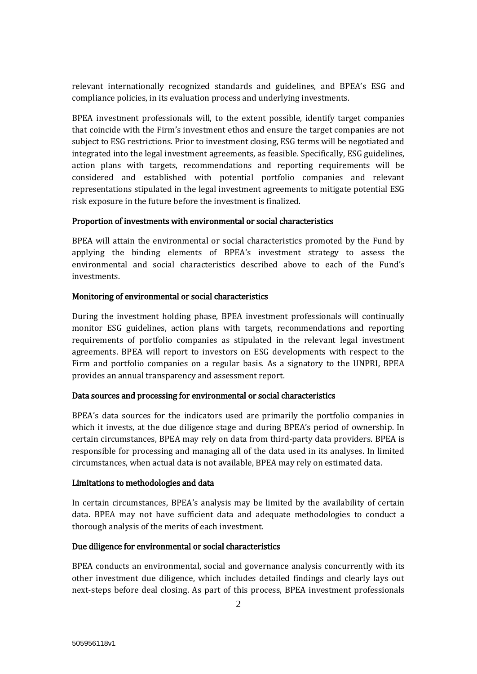relevant internationally recognized standards and guidelines, and BPEA's ESG and compliance policies, in its evaluation process and underlying investments.

BPEA investment professionals will, to the extent possible, identify target companies that coincide with the Firm's investment ethos and ensure the target companies are not subject to ESG restrictions. Prior to investment closing, ESG terms will be negotiated and integrated into the legal investment agreements, as feasible. Specifically, ESG guidelines, action plans with targets, recommendations and reporting requirements will be considered and established with potential portfolio companies and relevant representations stipulated in the legal investment agreements to mitigate potential ESG risk exposure in the future before the investment is finalized.

# Proportion of investments with environmental or social characteristics

BPEA will attain the environmental or social characteristics promoted by the Fund by applying the binding elements of BPEA's investment strategy to assess the environmental and social characteristics described above to each of the Fund's investments.

### Monitoring of environmental or social characteristics

During the investment holding phase, BPEA investment professionals will continually monitor ESG guidelines, action plans with targets, recommendations and reporting requirements of portfolio companies as stipulated in the relevant legal investment agreements. BPEA will report to investors on ESG developments with respect to the Firm and portfolio companies on a regular basis. As a signatory to the UNPRI, BPEA provides an annual transparency and assessment report.

# Data sources and processing for environmental or social characteristics

BPEA's data sources for the indicators used are primarily the portfolio companies in which it invests, at the due diligence stage and during BPEA's period of ownership. In certain circumstances, BPEA may rely on data from third-party data providers. BPEA is responsible for processing and managing all of the data used in its analyses. In limited circumstances, when actual data is not available, BPEA may rely on estimated data.

### Limitations to methodologies and data

In certain circumstances, BPEA's analysis may be limited by the availability of certain data. BPEA may not have sufficient data and adequate methodologies to conduct a thorough analysis of the merits of each investment.

# Due diligence for environmental or social characteristics

BPEA conducts an environmental, social and governance analysis concurrently with its other investment due diligence, which includes detailed findings and clearly lays out next-steps before deal closing. As part of this process, BPEA investment professionals